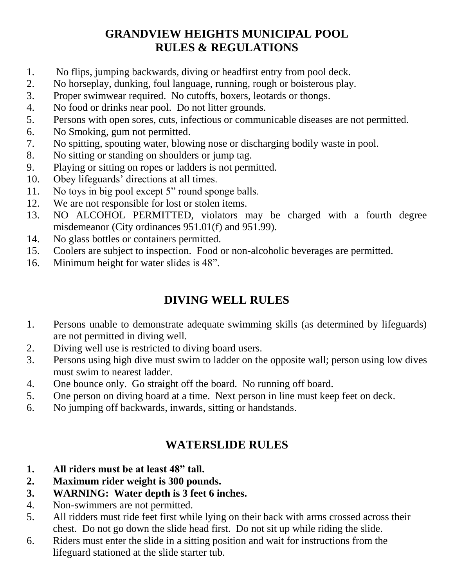# **GRANDVIEW HEIGHTS MUNICIPAL POOL RULES & REGULATIONS**

- 1. No flips, jumping backwards, diving or headfirst entry from pool deck.
- 2. No horseplay, dunking, foul language, running, rough or boisterous play.
- 3. Proper swimwear required. No cutoffs, boxers, leotards or thongs.
- 4. No food or drinks near pool. Do not litter grounds.
- 5. Persons with open sores, cuts, infectious or communicable diseases are not permitted.
- 6. No Smoking, gum not permitted.
- 7. No spitting, spouting water, blowing nose or discharging bodily waste in pool.
- 8. No sitting or standing on shoulders or jump tag.
- 9. Playing or sitting on ropes or ladders is not permitted.
- 10. Obey lifeguards' directions at all times.
- 11. No toys in big pool except 5" round sponge balls.
- 12. We are not responsible for lost or stolen items.
- 13. NO ALCOHOL PERMITTED, violators may be charged with a fourth degree misdemeanor (City ordinances 951.01(f) and 951.99).
- 14. No glass bottles or containers permitted.
- 15. Coolers are subject to inspection. Food or non-alcoholic beverages are permitted.
- 16. Minimum height for water slides is 48".

# **DIVING WELL RULES**

- 1. Persons unable to demonstrate adequate swimming skills (as determined by lifeguards) are not permitted in diving well.
- 2. Diving well use is restricted to diving board users.
- 3. Persons using high dive must swim to ladder on the opposite wall; person using low dives must swim to nearest ladder.
- 4. One bounce only. Go straight off the board. No running off board.
- 5. One person on diving board at a time. Next person in line must keep feet on deck.
- 6. No jumping off backwards, inwards, sitting or handstands.

# **WATERSLIDE RULES**

- **1. All riders must be at least 48" tall.**
- **2. Maximum rider weight is 300 pounds.**
- **3. WARNING: Water depth is 3 feet 6 inches.**
- 4. Non-swimmers are not permitted.
- 5. All ridders must ride feet first while lying on their back with arms crossed across their chest. Do not go down the slide head first. Do not sit up while riding the slide.
- 6. Riders must enter the slide in a sitting position and wait for instructions from the lifeguard stationed at the slide starter tub.